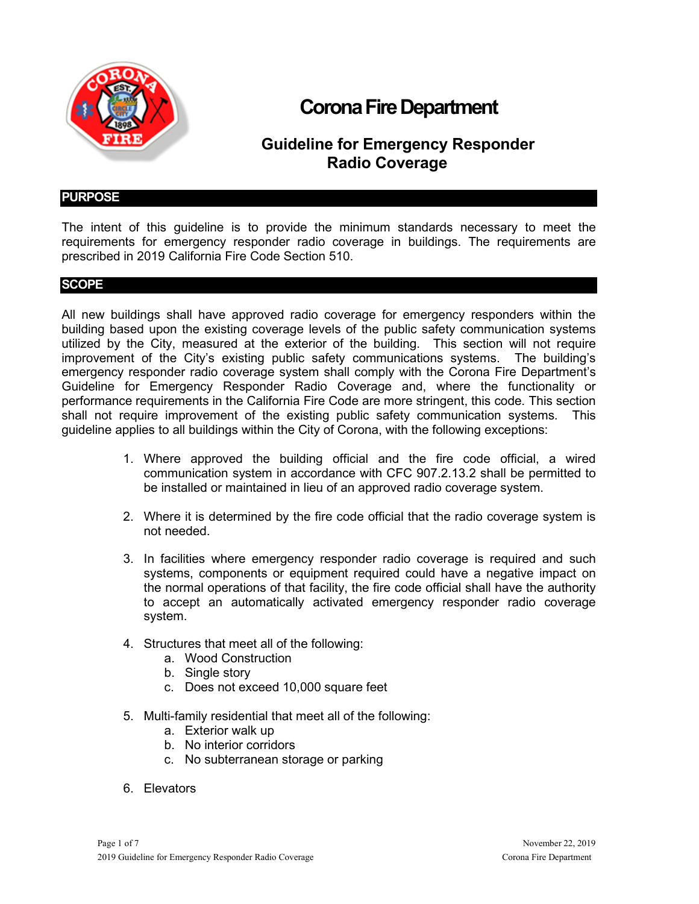

# **Corona Fire Department**

# **Guideline for Emergency Responder Radio Coverage**

#### **PURPOSE**

The intent of this guideline is to provide the minimum standards necessary to meet the requirements for emergency responder radio coverage in buildings. The requirements are prescribed in 2019 California Fire Code Section 510.

#### **SCOPE**

All new buildings shall have approved radio coverage for emergency responders within the building based upon the existing coverage levels of the public safety communication systems utilized by the City, measured at the exterior of the building. This section will not require improvement of the City's existing public safety communications systems. The building's emergency responder radio coverage system shall comply with the Corona Fire Department's Guideline for Emergency Responder Radio Coverage and, where the functionality or performance requirements in the California Fire Code are more stringent, this code. This section shall not require improvement of the existing public safety communication systems. This guideline applies to all buildings within the City of Corona, with the following exceptions:

- 1. Where approved the building official and the fire code official, a wired communication system in accordance with CFC 907.2.13.2 shall be permitted to be installed or maintained in lieu of an approved radio coverage system.
- 2. Where it is determined by the fire code official that the radio coverage system is not needed.
- 3. In facilities where emergency responder radio coverage is required and such systems, components or equipment required could have a negative impact on the normal operations of that facility, the fire code official shall have the authority to accept an automatically activated emergency responder radio coverage system.
- 4. Structures that meet all of the following:
	- a. Wood Construction
	- b. Single story
	- c. Does not exceed 10,000 square feet
- 5. Multi-family residential that meet all of the following:
	- a. Exterior walk up
	- b. No interior corridors
	- c. No subterranean storage or parking
- 6. Elevators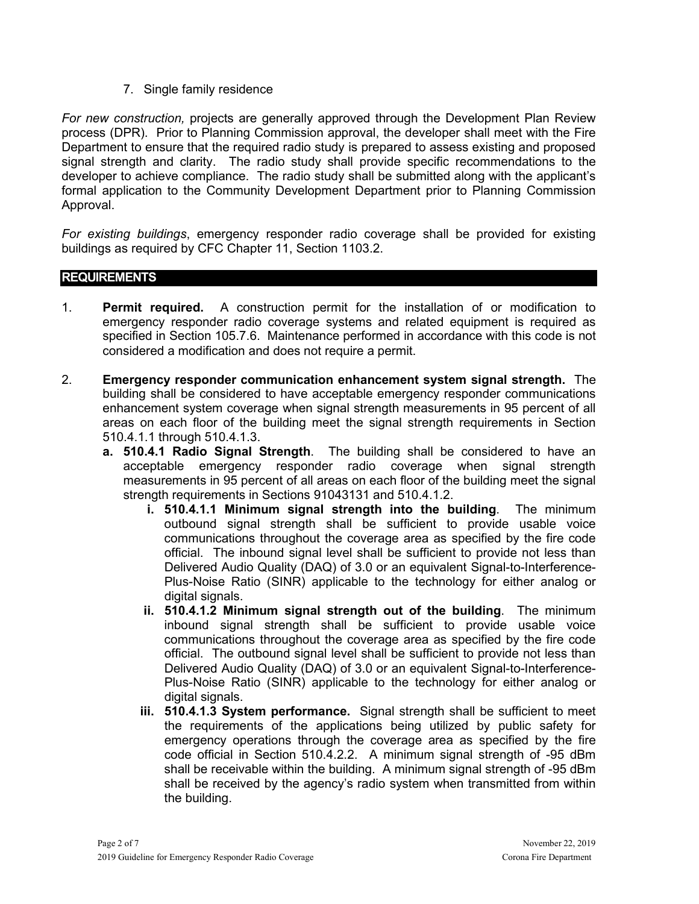### 7. Single family residence

*For new construction,* projects are generally approved through the Development Plan Review process (DPR). Prior to Planning Commission approval, the developer shall meet with the Fire Department to ensure that the required radio study is prepared to assess existing and proposed signal strength and clarity. The radio study shall provide specific recommendations to the developer to achieve compliance. The radio study shall be submitted along with the applicant's formal application to the Community Development Department prior to Planning Commission Approval.

*For existing buildings*, emergency responder radio coverage shall be provided for existing buildings as required by CFC Chapter 11, Section 1103.2.

## **REQUIREMENTS**

- 1. **Permit required.** A construction permit for the installation of or modification to emergency responder radio coverage systems and related equipment is required as specified in Section 105.7.6. Maintenance performed in accordance with this code is not considered a modification and does not require a permit.
- 2. **Emergency responder communication enhancement system signal strength.** The building shall be considered to have acceptable emergency responder communications enhancement system coverage when signal strength measurements in 95 percent of all areas on each floor of the building meet the signal strength requirements in Section 510.4.1.1 through 510.4.1.3.
	- **a. 510.4.1 Radio Signal Strength**. The building shall be considered to have an acceptable emergency responder radio coverage when signal strength measurements in 95 percent of all areas on each floor of the building meet the signal strength requirements in Sections 91043131 and 510.4.1.2.
		- **i. 510.4.1.1 Minimum signal strength into the building**. The minimum outbound signal strength shall be sufficient to provide usable voice communications throughout the coverage area as specified by the fire code official. The inbound signal level shall be sufficient to provide not less than Delivered Audio Quality (DAQ) of 3.0 or an equivalent Signal-to-Interference-Plus-Noise Ratio (SINR) applicable to the technology for either analog or digital signals.
		- **ii. 510.4.1.2 Minimum signal strength out of the building**. The minimum inbound signal strength shall be sufficient to provide usable voice communications throughout the coverage area as specified by the fire code official. The outbound signal level shall be sufficient to provide not less than Delivered Audio Quality (DAQ) of 3.0 or an equivalent Signal-to-Interference-Plus-Noise Ratio (SINR) applicable to the technology for either analog or digital signals.
		- **iii. 510.4.1.3 System performance.** Signal strength shall be sufficient to meet the requirements of the applications being utilized by public safety for emergency operations through the coverage area as specified by the fire code official in Section 510.4.2.2. A minimum signal strength of -95 dBm shall be receivable within the building. A minimum signal strength of -95 dBm shall be received by the agency's radio system when transmitted from within the building.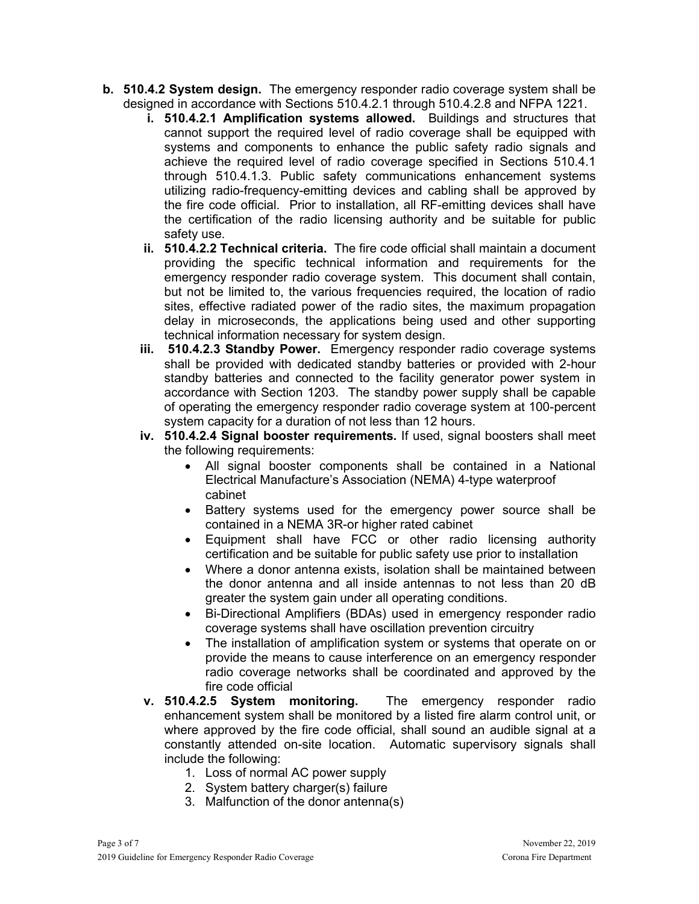- **b. 510.4.2 System design.** The emergency responder radio coverage system shall be designed in accordance with Sections 510.4.2.1 through 510.4.2.8 and NFPA 1221.
	- **i. 510.4.2.1 Amplification systems allowed.** Buildings and structures that cannot support the required level of radio coverage shall be equipped with systems and components to enhance the public safety radio signals and achieve the required level of radio coverage specified in Sections 510.4.1 through 510.4.1.3. Public safety communications enhancement systems utilizing radio-frequency-emitting devices and cabling shall be approved by the fire code official. Prior to installation, all RF-emitting devices shall have the certification of the radio licensing authority and be suitable for public safety use.
	- **ii. 510.4.2.2 Technical criteria.** The fire code official shall maintain a document providing the specific technical information and requirements for the emergency responder radio coverage system. This document shall contain, but not be limited to, the various frequencies required, the location of radio sites, effective radiated power of the radio sites, the maximum propagation delay in microseconds, the applications being used and other supporting technical information necessary for system design.
	- **iii. 510.4.2.3 Standby Power.** Emergency responder radio coverage systems shall be provided with dedicated standby batteries or provided with 2-hour standby batteries and connected to the facility generator power system in accordance with Section 1203. The standby power supply shall be capable of operating the emergency responder radio coverage system at 100-percent system capacity for a duration of not less than 12 hours.
	- **iv. 510.4.2.4 Signal booster requirements.** If used, signal boosters shall meet the following requirements:
		- All signal booster components shall be contained in a National Electrical Manufacture's Association (NEMA) 4-type waterproof cabinet
		- Battery systems used for the emergency power source shall be contained in a NEMA 3R-or higher rated cabinet
		- Equipment shall have FCC or other radio licensing authority certification and be suitable for public safety use prior to installation
		- Where a donor antenna exists, isolation shall be maintained between the donor antenna and all inside antennas to not less than 20 dB greater the system gain under all operating conditions.
		- Bi-Directional Amplifiers (BDAs) used in emergency responder radio coverage systems shall have oscillation prevention circuitry
		- The installation of amplification system or systems that operate on or provide the means to cause interference on an emergency responder radio coverage networks shall be coordinated and approved by the fire code official
	- **v. 510.4.2.5 System monitoring.** The emergency responder radio enhancement system shall be monitored by a listed fire alarm control unit, or where approved by the fire code official, shall sound an audible signal at a constantly attended on-site location. Automatic supervisory signals shall include the following:
		- 1. Loss of normal AC power supply
		- 2. System battery charger(s) failure
		- 3. Malfunction of the donor antenna(s)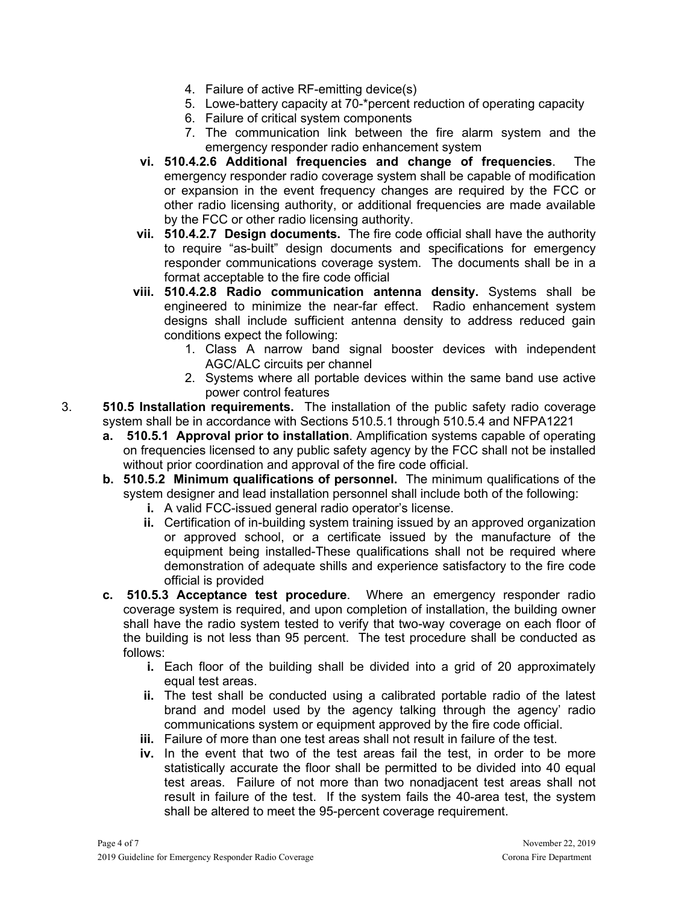- 4. Failure of active RF-emitting device(s)
- 5. Lowe-battery capacity at 70-\*percent reduction of operating capacity
- 6. Failure of critical system components
- 7. The communication link between the fire alarm system and the emergency responder radio enhancement system
- **vi. 510.4.2.6 Additional frequencies and change of frequencies**. The emergency responder radio coverage system shall be capable of modification or expansion in the event frequency changes are required by the FCC or other radio licensing authority, or additional frequencies are made available by the FCC or other radio licensing authority.
- **vii. 510.4.2.7 Design documents.** The fire code official shall have the authority to require "as-built" design documents and specifications for emergency responder communications coverage system. The documents shall be in a format acceptable to the fire code official
- **viii. 510.4.2.8 Radio communication antenna density.** Systems shall be engineered to minimize the near-far effect. Radio enhancement system designs shall include sufficient antenna density to address reduced gain conditions expect the following:
	- 1. Class A narrow band signal booster devices with independent AGC/ALC circuits per channel
	- 2. Systems where all portable devices within the same band use active power control features
- 3. **510.5 Installation requirements.** The installation of the public safety radio coverage system shall be in accordance with Sections 510.5.1 through 510.5.4 and NFPA1221
	- **a. 510.5.1 Approval prior to installation**. Amplification systems capable of operating on frequencies licensed to any public safety agency by the FCC shall not be installed without prior coordination and approval of the fire code official.
	- **b. 510.5.2 Minimum qualifications of personnel.** The minimum qualifications of the system designer and lead installation personnel shall include both of the following:
		- **i.** A valid FCC-issued general radio operator's license.
		- **ii.** Certification of in-building system training issued by an approved organization or approved school, or a certificate issued by the manufacture of the equipment being installed-These qualifications shall not be required where demonstration of adequate shills and experience satisfactory to the fire code official is provided
	- **c. 510.5.3 Acceptance test procedure**. Where an emergency responder radio coverage system is required, and upon completion of installation, the building owner shall have the radio system tested to verify that two-way coverage on each floor of the building is not less than 95 percent. The test procedure shall be conducted as follows:
		- **i.** Each floor of the building shall be divided into a grid of 20 approximately equal test areas.
		- **ii.** The test shall be conducted using a calibrated portable radio of the latest brand and model used by the agency talking through the agency' radio communications system or equipment approved by the fire code official.
		- **iii.** Failure of more than one test areas shall not result in failure of the test.
		- **iv.** In the event that two of the test areas fail the test, in order to be more statistically accurate the floor shall be permitted to be divided into 40 equal test areas. Failure of not more than two nonadjacent test areas shall not result in failure of the test. If the system fails the 40-area test, the system shall be altered to meet the 95-percent coverage requirement.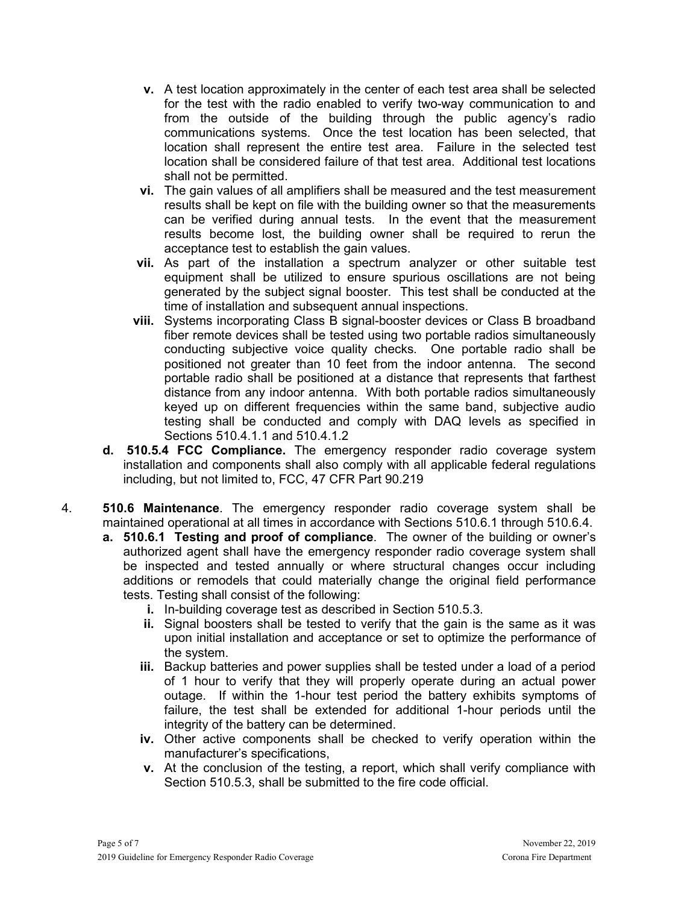- **v.** A test location approximately in the center of each test area shall be selected for the test with the radio enabled to verify two-way communication to and from the outside of the building through the public agency's radio communications systems. Once the test location has been selected, that location shall represent the entire test area. Failure in the selected test location shall be considered failure of that test area. Additional test locations shall not be permitted.
- **vi.** The gain values of all amplifiers shall be measured and the test measurement results shall be kept on file with the building owner so that the measurements can be verified during annual tests. In the event that the measurement results become lost, the building owner shall be required to rerun the acceptance test to establish the gain values.
- **vii.** As part of the installation a spectrum analyzer or other suitable test equipment shall be utilized to ensure spurious oscillations are not being generated by the subject signal booster. This test shall be conducted at the time of installation and subsequent annual inspections.
- **viii.** Systems incorporating Class B signal-booster devices or Class B broadband fiber remote devices shall be tested using two portable radios simultaneously conducting subjective voice quality checks. One portable radio shall be positioned not greater than 10 feet from the indoor antenna. The second portable radio shall be positioned at a distance that represents that farthest distance from any indoor antenna. With both portable radios simultaneously keyed up on different frequencies within the same band, subjective audio testing shall be conducted and comply with DAQ levels as specified in Sections 510.4.1.1 and 510.4.1.2
- **d. 510.5.4 FCC Compliance.** The emergency responder radio coverage system installation and components shall also comply with all applicable federal regulations including, but not limited to, FCC, 47 CFR Part 90.219
- 4. **510.6 Maintenance**. The emergency responder radio coverage system shall be maintained operational at all times in accordance with Sections 510.6.1 through 510.6.4.
	- **a. 510.6.1 Testing and proof of compliance**. The owner of the building or owner's authorized agent shall have the emergency responder radio coverage system shall be inspected and tested annually or where structural changes occur including additions or remodels that could materially change the original field performance tests. Testing shall consist of the following:
		- **i.** In-building coverage test as described in Section 510.5.3.
		- **ii.** Signal boosters shall be tested to verify that the gain is the same as it was upon initial installation and acceptance or set to optimize the performance of the system.
		- **iii.** Backup batteries and power supplies shall be tested under a load of a period of 1 hour to verify that they will properly operate during an actual power outage. If within the 1-hour test period the battery exhibits symptoms of failure, the test shall be extended for additional 1-hour periods until the integrity of the battery can be determined.
		- **iv.** Other active components shall be checked to verify operation within the manufacturer's specifications,
		- **v.** At the conclusion of the testing, a report, which shall verify compliance with Section 510.5.3, shall be submitted to the fire code official.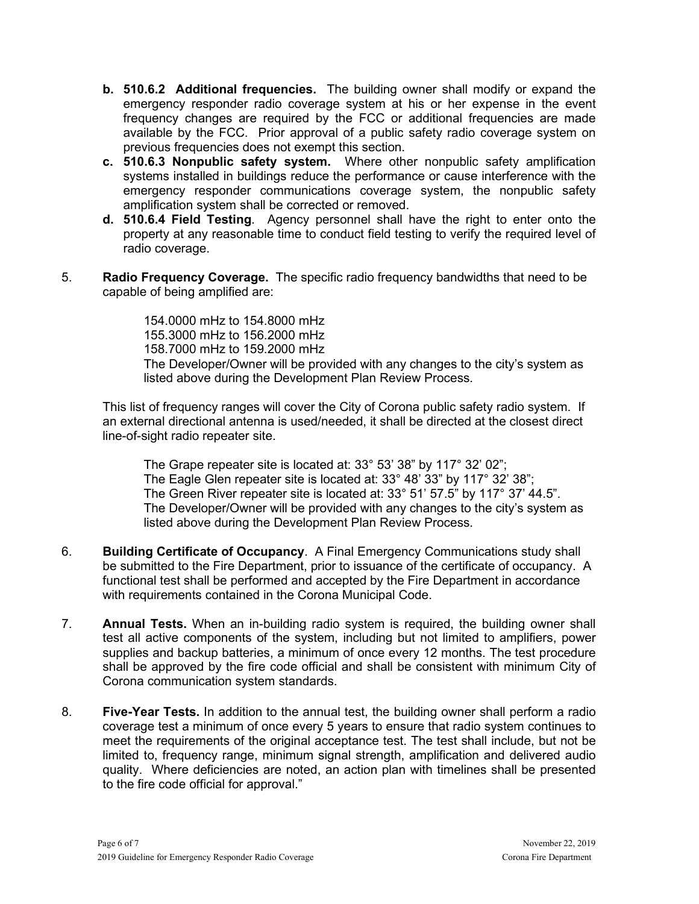- **b. 510.6.2 Additional frequencies.** The building owner shall modify or expand the emergency responder radio coverage system at his or her expense in the event frequency changes are required by the FCC or additional frequencies are made available by the FCC. Prior approval of a public safety radio coverage system on previous frequencies does not exempt this section.
- **c. 510.6.3 Nonpublic safety system.** Where other nonpublic safety amplification systems installed in buildings reduce the performance or cause interference with the emergency responder communications coverage system, the nonpublic safety amplification system shall be corrected or removed.
- **d. 510.6.4 Field Testing**. Agency personnel shall have the right to enter onto the property at any reasonable time to conduct field testing to verify the required level of radio coverage.
- 5. **Radio Frequency Coverage.** The specific radio frequency bandwidths that need to be capable of being amplified are:

154.0000 mHz to 154.8000 mHz 155.3000 mHz to 156.2000 mHz 158.7000 mHz to 159.2000 mHz The Developer/Owner will be provided with any changes to the city's system as listed above during the Development Plan Review Process.

This list of frequency ranges will cover the City of Corona public safety radio system. If an external directional antenna is used/needed, it shall be directed at the closest direct line-of-sight radio repeater site.

The Grape repeater site is located at: 33° 53' 38" by 117° 32' 02"; The Eagle Glen repeater site is located at: 33° 48' 33" by 117° 32' 38"; The Green River repeater site is located at: 33° 51' 57.5" by 117° 37' 44.5". The Developer/Owner will be provided with any changes to the city's system as listed above during the Development Plan Review Process.

- 6. **Building Certificate of Occupancy**. A Final Emergency Communications study shall be submitted to the Fire Department, prior to issuance of the certificate of occupancy. A functional test shall be performed and accepted by the Fire Department in accordance with requirements contained in the Corona Municipal Code.
- 7. **Annual Tests.** When an in-building radio system is required, the building owner shall test all active components of the system, including but not limited to amplifiers, power supplies and backup batteries, a minimum of once every 12 months. The test procedure shall be approved by the fire code official and shall be consistent with minimum City of Corona communication system standards.
- 8. **Five-Year Tests.** In addition to the annual test, the building owner shall perform a radio coverage test a minimum of once every 5 years to ensure that radio system continues to meet the requirements of the original acceptance test. The test shall include, but not be limited to, frequency range, minimum signal strength, amplification and delivered audio quality. Where deficiencies are noted, an action plan with timelines shall be presented to the fire code official for approval."